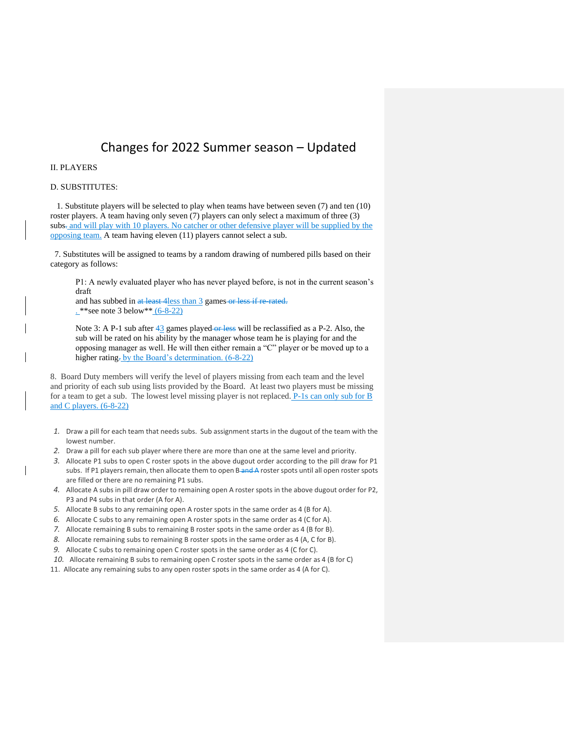## Changes for 2022 Summer season – Updated

#### II. PLAYERS

#### D. SUBSTITUTES:

 1. Substitute players will be selected to play when teams have between seven (7) and ten (10) roster players. A team having only seven (7) players can only select a maximum of three (3) subs- and will play with 10 players. No catcher or other defensive player will be supplied by the opposing team. A team having eleven (11) players cannot select a sub.

 7. Substitutes will be assigned to teams by a random drawing of numbered pills based on their category as follows:

P1: A newly evaluated player who has never played before, is not in the current season's draft

and has subbed in at least 4less than 3 games or less if re-rated. . \*\*see note 3 below\*\* (6-8-22)

Note 3: A P-1 sub after 43 games played or less will be reclassified as a P-2. Also, the sub will be rated on his ability by the manager whose team he is playing for and the opposing manager as well. He will then either remain a "C" player or be moved up to a higher rating- by the Board's determination. (6-8-22)

8. Board Duty members will verify the level of players missing from each team and the level and priority of each sub using lists provided by the Board. At least two players must be missing for a team to get a sub. The lowest level missing player is not replaced.  $P-1s$  can only sub for  $\overline{B}$ and C players. (6-8-22)

- *1.* Draw a pill for each team that needs subs. Sub assignment starts in the dugout of the team with the lowest number.
- *2.* Draw a pill for each sub player where there are more than one at the same level and priority.
- *3.* Allocate P1 subs to open C roster spots in the above dugout order according to the pill draw for P1 subs. If P1 players remain, then allocate them to open B-and A roster spots until all open roster spots are filled or there are no remaining P1 subs.
- *4.* Allocate A subs in pill draw order to remaining open A roster spots in the above dugout order for P2, P3 and P4 subs in that order (A for A).
- *5.* Allocate B subs to any remaining open A roster spots in the same order as 4 (B for A).
- *6.* Allocate C subs to any remaining open A roster spots in the same order as 4 (C for A).
- *7.* Allocate remaining B subs to remaining B roster spots in the same order as 4 (B for B).
- *8.* Allocate remaining subs to remaining B roster spots in the same order as 4 (A, C for B).
- *9.* Allocate C subs to remaining open C roster spots in the same order as 4 (C for C).
- *10.* Allocate remaining B subs to remaining open C roster spots in the same order as 4 (B for C)
- 11. Allocate any remaining subs to any open roster spots in the same order as 4 (A for C).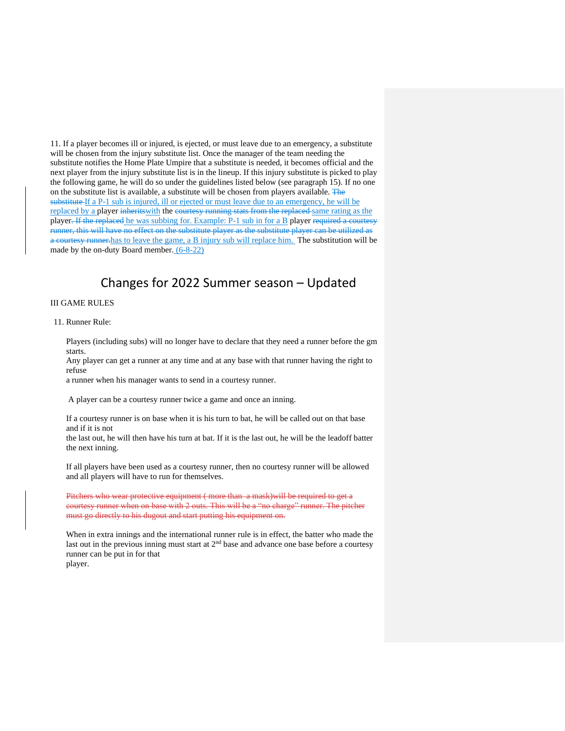11. If a player becomes ill or injured, is ejected, or must leave due to an emergency, a substitute will be chosen from the injury substitute list. Once the manager of the team needing the substitute notifies the Home Plate Umpire that a substitute is needed, it becomes official and the next player from the injury substitute list is in the lineup. If this injury substitute is picked to play the following game, he will do so under the guidelines listed below (see paragraph 15). If no one on the substitute list is available, a substitute will be chosen from players available. The substitute If a P-1 sub is injured, ill or ejected or must leave due to an emergency, he will be replaced by a player inherits with the courtesy running stats from the replaced same rating as the player<del>. If the replaced</del> he was subbing for. Example: P-1 sub in for a B player required a courtesy runner, this will have no effect on the substitute player as the substitute player can be utilized as a courtesy runner.has to leave the game, a B injury sub will replace him. The substitution will be made by the on-duty Board member. (6-8-22)

## Changes for 2022 Summer season – Updated

#### III GAME RULES

#### 11. Runner Rule:

Players (including subs) will no longer have to declare that they need a runner before the gm starts.

Any player can get a runner at any time and at any base with that runner having the right to refuse

a runner when his manager wants to send in a courtesy runner.

A player can be a courtesy runner twice a game and once an inning.

If a courtesy runner is on base when it is his turn to bat, he will be called out on that base and if it is not

the last out, he will then have his turn at bat. If it is the last out, he will be the leadoff batter the next inning.

If all players have been used as a courtesy runner, then no courtesy runner will be allowed and all players will have to run for themselves.

Pitchers who wear protective equipment ( more than a mask)will be required to get a courtesy runner when on base with 2 outs. This will be a "no charge" runner. The pitcher must go directly to his dugout and start putting his equipment on.

When in extra innings and the international runner rule is in effect, the batter who made the last out in the previous inning must start at  $2<sup>nd</sup>$  base and advance one base before a courtesy runner can be put in for that player.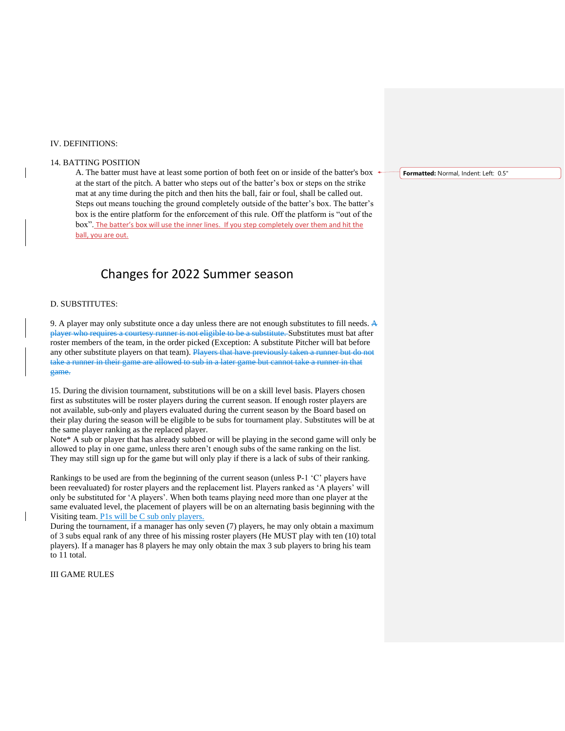#### IV. DEFINITIONS:

#### 14. BATTING POSITION

A. The batter must have at least some portion of both feet on or inside of the batter's box at the start of the pitch. A batter who steps out of the batter's box or steps on the strike mat at any time during the pitch and then hits the ball, fair or foul, shall be called out. Steps out means touching the ground completely outside of the batter's box. The batter's box is the entire platform for the enforcement of this rule. Off the platform is "out of the box". The batter's box will use the inner lines. If you step completely over them and hit the ball, you are out.

# Changes for 2022 Summer season

#### D. SUBSTITUTES:

9. A player may only substitute once a day unless there are not enough substitutes to fill needs. A player who requires a courtesy runner is not eligible to be a substitute. Substitutes must bat after roster members of the team, in the order picked (Exception: A substitute Pitcher will bat before any other substitute players on that team). Players that have previously taken a runner but do not take a runner in their game are allowed to sub in a later game but cannot take a runner in that game.

15. During the division tournament, substitutions will be on a skill level basis. Players chosen first as substitutes will be roster players during the current season. If enough roster players are not available, sub-only and players evaluated during the current season by the Board based on their play during the season will be eligible to be subs for tournament play. Substitutes will be at the same player ranking as the replaced player.

Note\* A sub or player that has already subbed or will be playing in the second game will only be allowed to play in one game, unless there aren't enough subs of the same ranking on the list. They may still sign up for the game but will only play if there is a lack of subs of their ranking.

Rankings to be used are from the beginning of the current season (unless P-1 'C' players have been reevaluated) for roster players and the replacement list. Players ranked as 'A players' will only be substituted for 'A players'. When both teams playing need more than one player at the same evaluated level, the placement of players will be on an alternating basis beginning with the Visiting team. P1s will be C sub only players.

During the tournament, if a manager has only seven (7) players, he may only obtain a maximum of 3 subs equal rank of any three of his missing roster players (He MUST play with ten (10) total players). If a manager has 8 players he may only obtain the max 3 sub players to bring his team to 11 total.

III GAME RULES

**Formatted:** Normal, Indent: Left: 0.5"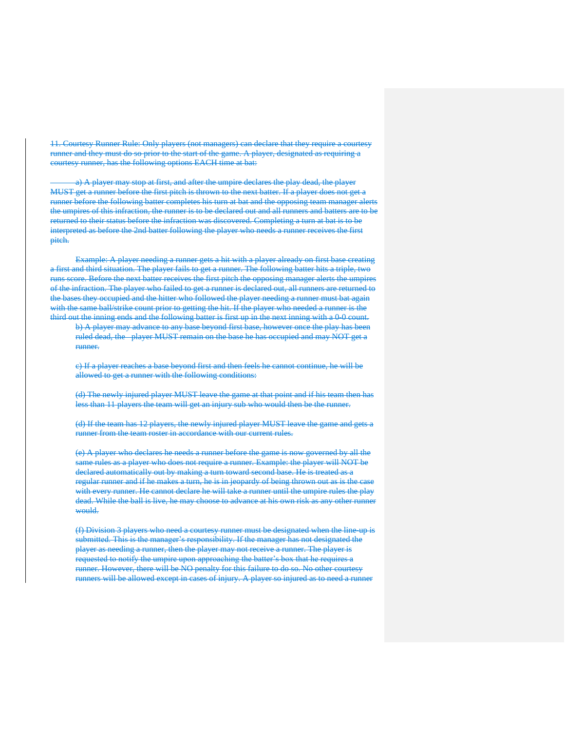11. Courtesy Runner Rule: Only players (not managers) can declare that they require a courtesy runner and they must do so prior to the start of the game. A player, designated as requiring a courtesy runner, has the following options EACH time at bat:

a) A player may stop at first, and after the umpire declares the play dead, the player MUST get a runner before the first pitch is thrown to the next batter. If a player does not get a runner before the following batter completes his turn at bat and the opposing team manager alerts the umpires of this infraction, the runner is to be declared out and all runners and batters are to be returned to their status before the infraction was discovered. Completing a turn at bat is to be interpreted as before the 2nd batter following the player who needs a runner receives the first pitch.

Example: A player needing a runner gets a hit with a player already on first base creating a first and third situation. The player fails to get a runner. The following batter hits a triple, two runs score. Before the next batter receives the first pitch the opposing manager alerts the umpires of the infraction. The player who failed to get a runner is declared out, all runners are returned to the bases they occupied and the hitter who followed the player needing a runner must bat again with the same ball/strike count prior to getting the hit. If the player who needed a runner is the third out the inning ends and the following batter is first up in the next inning with a 0-0 count.

b) A player may advance to any base beyond first base, however once the play has been ruled dead, the player MUST remain on the base he has occupied and may NOT get a runner.

c) If a player reaches a base beyond first and then feels he cannot continue, he will be allowed to get a runner with the following conditions:

(d) The newly injured player MUST leave the game at that point and if his team then has less than 11 players the team will get an injury sub who would then be the runner.

(d) If the team has 12 players, the newly injured player MUST leave the game and gets a runner from the team roster in accordance with our current rules.

(e) A player who declares he needs a runner before the game is now governed by all the same rules as a player who does not require a runner. Example: the player will NOT be declared automatically out by making a turn toward second base. He is treated as a regular runner and if he makes a turn, he is in jeopardy of being thrown out as is the case with every runner. He cannot declare he will take a runner until the umpire rules the play dead. While the ball is live, he may choose to advance at his own risk as any other runner would.

(f) Division 3 players who need a courtesy runner must be designated when the line-up is submitted. This is the manager's responsibility. If the manager has not designated the player as needing a runner, then the player may not receive a runner. The player is requested to notify the umpire upon approaching the batter's box that he requires a runner. However, there will be NO penalty for this failure to do so. No other courtesy runners will be allowed except in cases of injury. A player so injured as to need a runner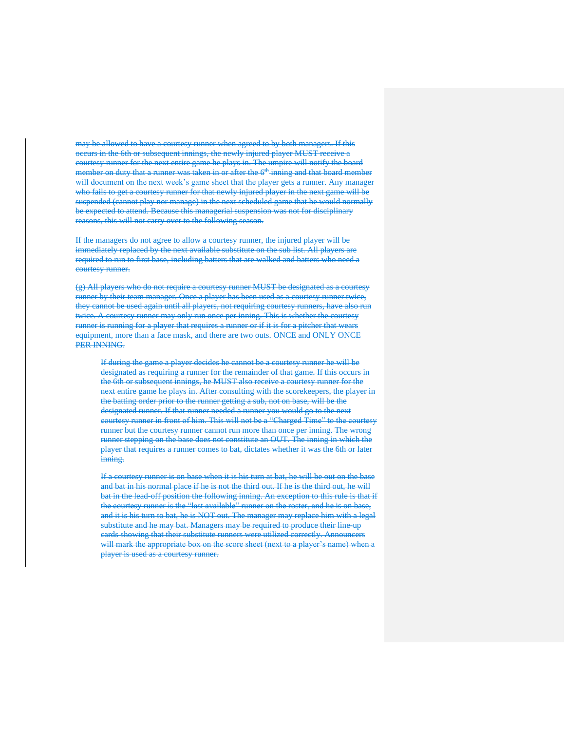may be allowed to have a courtesy runner when agreed to by both managers. If this occurs in the 6th or subsequent innings, the newly injured player MUST receive a courtesy runner for the next entire game he plays in. The umpire will notify the board member on duty that a runner was taken in or after the  $6<sup>th</sup>$  inning and that board member will document on the next week's game sheet that the player gets a runner. Any manager who fails to get a courtesy runner for that newly injured player in the next game will be suspended (cannot play nor manage) in the next scheduled game that he would normally be expected to attend. Because this managerial suspension was not for disciplinary reasons, this will not carry over to the following season.

If the managers do not agree to allow a courtesy runner, the injured player will be immediately replaced by the next available substitute on the sub list. All players are required to run to first base, including batters that are walked and batters who need a courtesy runner.

(g) All players who do not require a courtesy runner MUST be designated as a courtesy runner by their team manager. Once a player has been used as a courtesy runner twice, they cannot be used again until all players, not requiring courtesy runners, have also run twice. A courtesy runner may only run once per inning. This is whether the courtesy runner is running for a player that requires a runner or if it is for a pitcher that wears equipment, more than a face mask, and there are two outs. ONCE and ONLY ONCE PER INNING.

If during the game a player decides he cannot be a courtesy runner he will be designated as requiring a runner for the remainder of that game. If this occurs in the 6th or subsequent innings, he MUST also receive a courtesy runner for the next entire game he plays in. After consulting with the scorekeepers, the player in the batting order prior to the runner getting a sub, not on base, will be the designated runner. If that runner needed a runner you would go to the next courtesy runner in front of him. This will not be a "Charged Time" to the courtesy runner but the courtesy runner cannot run more than once per inning. The wrong runner stepping on the base does not constitute an OUT. The inning in which the player that requires a runner comes to bat, dictates whether it was the 6th or later inning.

If a courtesy runner is on base when it is his turn at bat, he will be out on the base and bat in his normal place if he is not the third out. If he is the third out, he will bat in the lead-off position the following inning. An exception to this rule is that if the courtesy runner is the "last available" runner on the roster, and he is on base, and it is his turn to bat, he is NOT out. The manager may replace him with a legal substitute and he may bat. Managers may be required to produce their line-up cards showing that their substitute runners were utilized correctly. Announcers will mark the appropriate box on the score sheet (next to a player's name) when a player is used as a courtesy runner.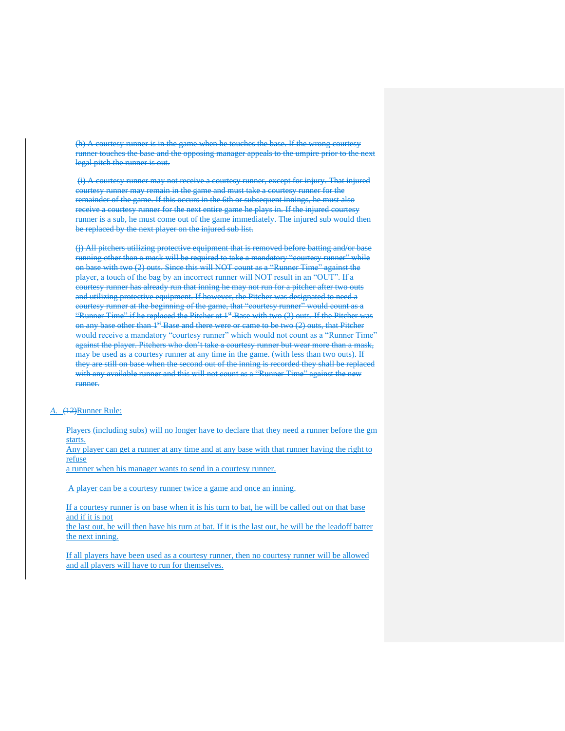(h) A courtesy runner is in the game when he touches the base. If the wrong courtesy runner touches the base and the opposing manager appeals to the umpire prior to the next legal pitch the runner is out.

(i) A courtesy runner may not receive a courtesy runner, except for injury. That injured courtesy runner may remain in the game and must take a courtesy runner for the remainder of the game. If this occurs in the 6th or subsequent innings, he must also receive a courtesy runner for the next entire game he plays in. If the injured courtesy runner is a sub, he must come out of the game immediately. The injured sub would then be replaced by the next player on the injured sub list.

(j) All pitchers utilizing protective equipment that is removed before batting and/or base running other than a mask will be required to take a mandatory "courtesy runner" while on base with two (2) outs. Since this will NOT count as a "Runner Time" against the player, a touch of the bag by an incorrect runner will NOT result in an "OUT". If a courtesy runner has already run that inning he may not run for a pitcher after two outs and utilizing protective equipment. If however, the Pitcher was designated to need a courtesy runner at the beginning of the game, that "courtesy runner" would count as a "Runner Time" if he replaced the Pitcher at 1<sup>st</sup> Base with two (2) outs. If the Pitcher was on any base other than  $1<sup>st</sup>$  Base and there were or came to be two (2) outs, that Pitcher would receive a mandatory "courtesy runner" which would not count as a "Runner Time" against the player. Pitchers who don't take a courtesy runner but wear more than a mask, may be used as a courtesy runner at any time in the game. (with less than two outs). If they are still on base when the second out of the inning is recorded they shall be replaced with any available runner and this will not count as a "Runner Time" against the new runner.

#### *A.* (12)Runner Rule:

Players (including subs) will no longer have to declare that they need a runner before the gm starts.

Any player can get a runner at any time and at any base with that runner having the right to refuse

a runner when his manager wants to send in a courtesy runner.

A player can be a courtesy runner twice a game and once an inning.

If a courtesy runner is on base when it is his turn to bat, he will be called out on that base and if it is not

the last out, he will then have his turn at bat. If it is the last out, he will be the leadoff batter the next inning.

If all players have been used as a courtesy runner, then no courtesy runner will be allowed and all players will have to run for themselves.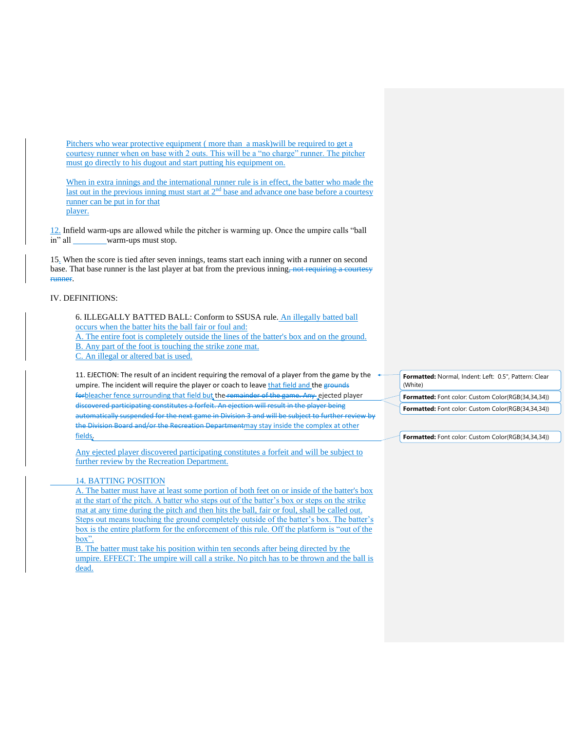Pitchers who wear protective equipment ( more than a mask)will be required to get a courtesy runner when on base with 2 outs. This will be a "no charge" runner. The pitcher must go directly to his dugout and start putting his equipment on.

When in extra innings and the international runner rule is in effect, the batter who made the last out in the previous inning must start at 2<sup>nd</sup> base and advance one base before a courtesy runner can be put in for that player.

12. Infield warm-ups are allowed while the pitcher is warming up. Once the umpire calls "ball in" all warm-ups must stop.

15. When the score is tied after seven innings, teams start each inning with a runner on second base. That base runner is the last player at bat from the previous inning, not requiring a courtesy runner.

#### IV. DEFINITIONS:

6. ILLEGALLY BATTED BALL: Conform to SSUSA rule. An illegally batted ball occurs when the batter hits the ball fair or foul and: A. The entire foot is completely outside the lines of the batter's box and on the ground. B. Any part of the foot is touching the strike zone mat. C. An illegal or altered bat is used.

11. EJECTION: The result of an incident requiring the removal of a player from the game by the  $\rightarrow$ umpire. The incident will require the player or coach to leave that field and the grounds forbleacher fence surrounding that field but the remainder of the game. Any ejected player discovered participating constitutes a forfeit. An ejection will result in the player being automatically suspended for the next game in Division 3 and will be subject to further review by the Division Board and/or the Recreation Departmentmay stay inside the complex at other fields.

Any ejected player discovered participating constitutes a forfeit and will be subject to further review by the Recreation Department.

#### 14. BATTING POSITION

A. The batter must have at least some portion of both feet on or inside of the batter's box at the start of the pitch. A batter who steps out of the batter's box or steps on the strike mat at any time during the pitch and then hits the ball, fair or foul, shall be called out. Steps out means touching the ground completely outside of the batter's box. The batter's box is the entire platform for the enforcement of this rule. Off the platform is "out of the box".

B. The batter must take his position within ten seconds after being directed by the umpire. EFFECT: The umpire will call a strike. No pitch has to be thrown and the ball is dead.

**Formatted:** Normal, Indent: Left: 0.5", Pattern: Clear (White) **Formatted:** Font color: Custom Color(RGB(34,34,34))

**Formatted:** Font color: Custom Color(RGB(34,34,34))

**Formatted:** Font color: Custom Color(RGB(34,34,34))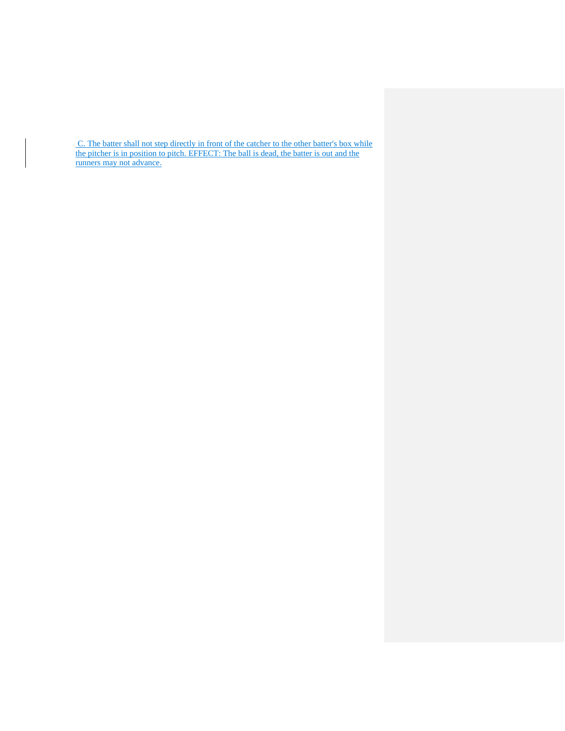C. The batter shall not step directly in front of the catcher to the other batter's box while the pitcher is in position to pitch. EFFECT: The ball is dead, the batter is out and the runners may not advance.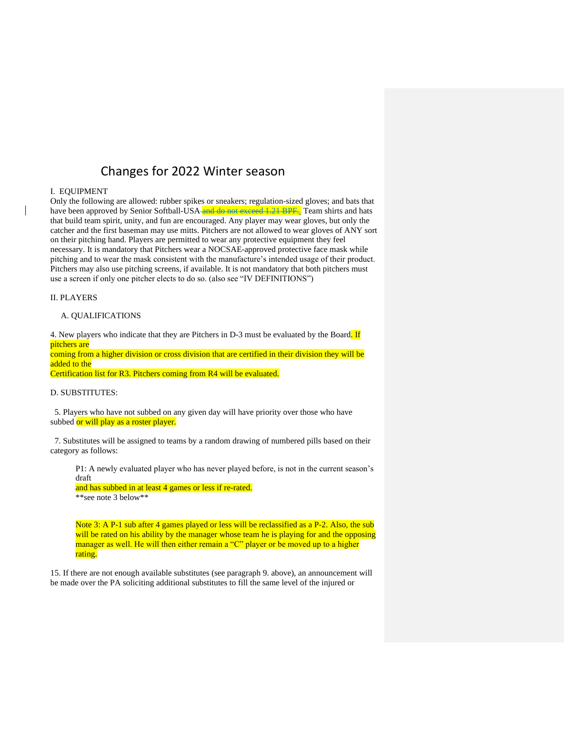## Changes for 2022 Winter season

#### I. EQUIPMENT

Only the following are allowed: rubber spikes or sneakers; regulation-sized gloves; and bats that have been approved by Senior Softball-USA and do not exceed 1.21 BPF. Team shirts and hats that build team spirit, unity, and fun are encouraged. Any player may wear gloves, but only the catcher and the first baseman may use mitts. Pitchers are not allowed to wear gloves of ANY sort on their pitching hand. Players are permitted to wear any protective equipment they feel necessary. It is mandatory that Pitchers wear a NOCSAE-approved protective face mask while pitching and to wear the mask consistent with the manufacture's intended usage of their product. Pitchers may also use pitching screens, if available. It is not mandatory that both pitchers must use a screen if only one pitcher elects to do so. (also see "IV DEFINITIONS")

#### II. PLAYERS

#### A. QUALIFICATIONS

4. New players who indicate that they are Pitchers in D-3 must be evaluated by the Board. If pitchers are

coming from a higher division or cross division that are certified in their division they will be added to the

Certification list for R3. Pitchers coming from R4 will be evaluated.

#### D. SUBSTITUTES:

 5. Players who have not subbed on any given day will have priority over those who have subbed or will play as a roster player.

 7. Substitutes will be assigned to teams by a random drawing of numbered pills based on their category as follows:

P1: A newly evaluated player who has never played before, is not in the current season's draft

and has subbed in at least 4 games or less if re-rated. \*\*see note 3 below\*\*

Note 3: A P-1 sub after 4 games played or less will be reclassified as a P-2. Also, the sub will be rated on his ability by the manager whose team he is playing for and the opposing manager as well. He will then either remain a "C" player or be moved up to a higher rating.

15. If there are not enough available substitutes (see paragraph 9. above), an announcement will be made over the PA soliciting additional substitutes to fill the same level of the injured or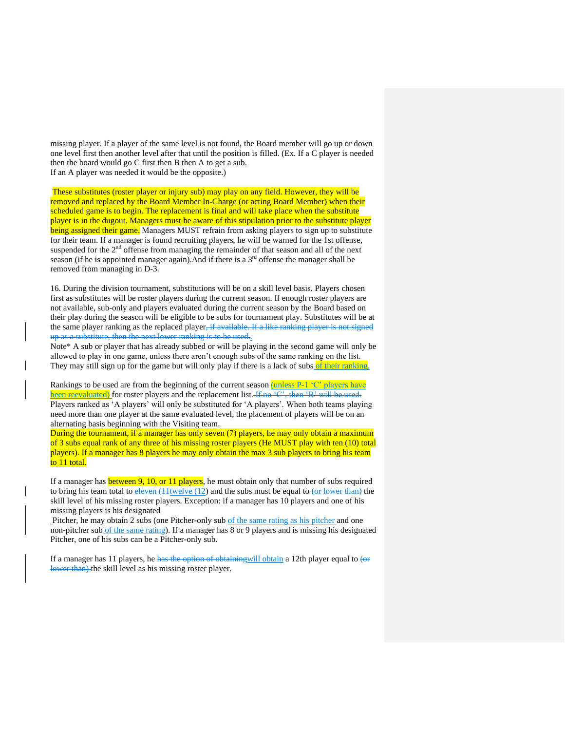missing player. If a player of the same level is not found, the Board member will go up or down one level first then another level after that until the position is filled. (Ex. If a C player is needed then the board would go C first then B then A to get a sub. If an A player was needed it would be the opposite.)

These substitutes (roster player or injury sub) may play on any field. However, they will be removed and replaced by the Board Member In-Charge (or acting Board Member) when their scheduled game is to begin. The replacement is final and will take place when the substitute player is in the dugout. Managers must be aware of this stipulation prior to the substitute player being assigned their game. Managers MUST refrain from asking players to sign up to substitute for their team. If a manager is found recruiting players, he will be warned for the 1st offense, suspended for the 2<sup>nd</sup> offense from managing the remainder of that season and all of the next season (if he is appointed manager again). And if there is a  $3<sup>rd</sup>$  offense the manager shall be removed from managing in D-3.

16. During the division tournament, substitutions will be on a skill level basis. Players chosen first as substitutes will be roster players during the current season. If enough roster players are not available, sub-only and players evaluated during the current season by the Board based on their play during the season will be eligible to be subs for tournament play. Substitutes will be at the same player ranking as the replaced player, if available. If a like ranking player is not signed up as a substitute, then the next lower ranking is to be used..

Note\* A sub or player that has already subbed or will be playing in the second game will only be allowed to play in one game, unless there aren't enough subs of the same ranking on the list. They may still sign up for the game but will only play if there is a lack of subs of their ranking.

Rankings to be used are from the beginning of the current season  $(u$  net  $P_1$  'C' players have been reevaluated) for roster players and the replacement list. If no 'C', then 'B' will be used. Players ranked as 'A players' will only be substituted for 'A players'. When both teams playing need more than one player at the same evaluated level, the placement of players will be on an alternating basis beginning with the Visiting team.

During the tournament, if a manager has only seven (7) players, he may only obtain a maximum of 3 subs equal rank of any three of his missing roster players (He MUST play with ten (10) total players). If a manager has 8 players he may only obtain the max 3 sub players to bring his team to 11 total.

If a manager has **between 9, 10, or 11 players**, he must obtain only that number of subs required to bring his team total to  $e^{\frac{1}{2}t}$  (11th  $(12)$  and the subs must be equal to (or lower than) the skill level of his missing roster players. Exception: if a manager has 10 players and one of his missing players is his designated

Pitcher, he may obtain 2 subs (one Pitcher-only sub of the same rating as his pitcher and one non-pitcher sub of the same rating). If a manager has 8 or 9 players and is missing his designated Pitcher, one of his subs can be a Pitcher-only sub.

If a manager has 11 players, he has the option of obtaining will obtain a 12th player equal to  $\left( \text{or} \right)$ lower than) the skill level as his missing roster player.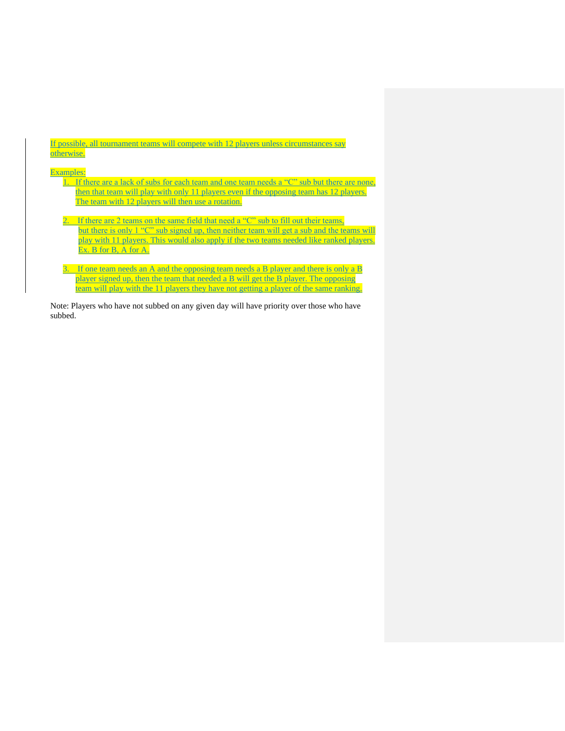If possible, all tournament teams will compete with 12 players unless circumstances say otherwise.

#### Examples:

- 1. If there are a lack of subs for each team and one team needs a "C" sub but there are none, then that team will play with only 11 players even if the opposing team has 12 players. The team with 12 players will then use a rotation.
- 2. If there are 2 teams on the same field that need a "C" sub to fill out their teams, but there is only 1 "C" sub signed up, then neither team will get a sub and the teams will play with 11 players. This would also apply if the two teams needed like ranked players. Ex. B for B, A for A.
- 3. If one team needs an A and the opposing team needs a B player and there is only a B player signed up, then the team that needed a B will get the B player. The opposing team will play with the 11 players they have not getting a player of the same ranking.

Note: Players who have not subbed on any given day will have priority over those who have subbed.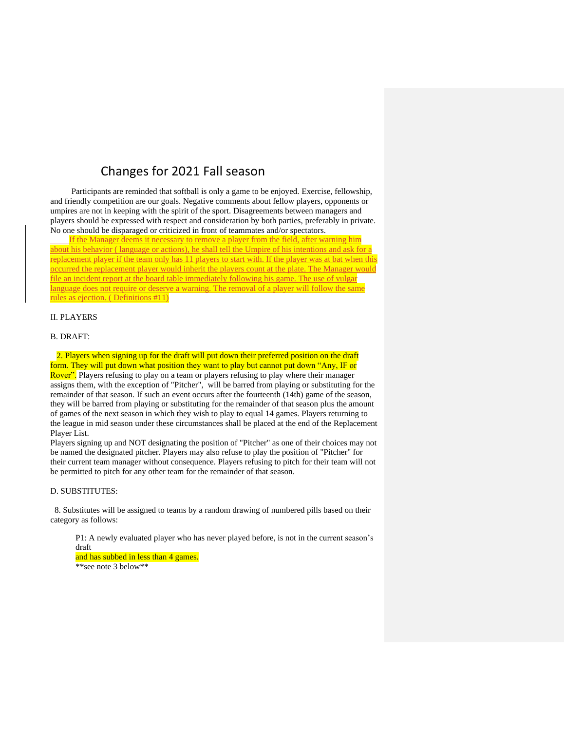## Changes for 2021 Fall season

 Participants are reminded that softball is only a game to be enjoyed. Exercise, fellowship, and friendly competition are our goals. Negative comments about fellow players, opponents or umpires are not in keeping with the spirit of the sport. Disagreements between managers and players should be expressed with respect and consideration by both parties, preferably in private. No one should be disparaged or criticized in front of teammates and/or spectators.

If the Manager deems it necessary to remove a player from the field, after warning him about his behavior ( language or actions), he shall tell the Umpire of his intentions and ask for a replacement player if the team only has 11 players to start with. If the player was at bat when this occurred the replacement player would inherit the players count at the plate. The Manager would file an incident report at the board table immediately following his game. The use of vulgar language does not require or deserve a warning. The removal of a player will follow the same rules as ejection. ( Definitions #11)

#### II. PLAYERS

B. DRAFT:

 2. Players when signing up for the draft will put down their preferred position on the draft form. They will put down what position they want to play but cannot put down "Any, IF or Rover". Players refusing to play on a team or players refusing to play where their manager assigns them, with the exception of "Pitcher", will be barred from playing or substituting for the remainder of that season. If such an event occurs after the fourteenth (14th) game of the season, they will be barred from playing or substituting for the remainder of that season plus the amount of games of the next season in which they wish to play to equal 14 games. Players returning to the league in mid season under these circumstances shall be placed at the end of the Replacement Player List.

Players signing up and NOT designating the position of "Pitcher" as one of their choices may not be named the designated pitcher. Players may also refuse to play the position of "Pitcher" for their current team manager without consequence. Players refusing to pitch for their team will not be permitted to pitch for any other team for the remainder of that season.

#### D. SUBSTITUTES:

 8. Substitutes will be assigned to teams by a random drawing of numbered pills based on their category as follows:

P1: A newly evaluated player who has never played before, is not in the current season's draft and has subbed in less than 4 games.

\*\*see note 3 below\*\*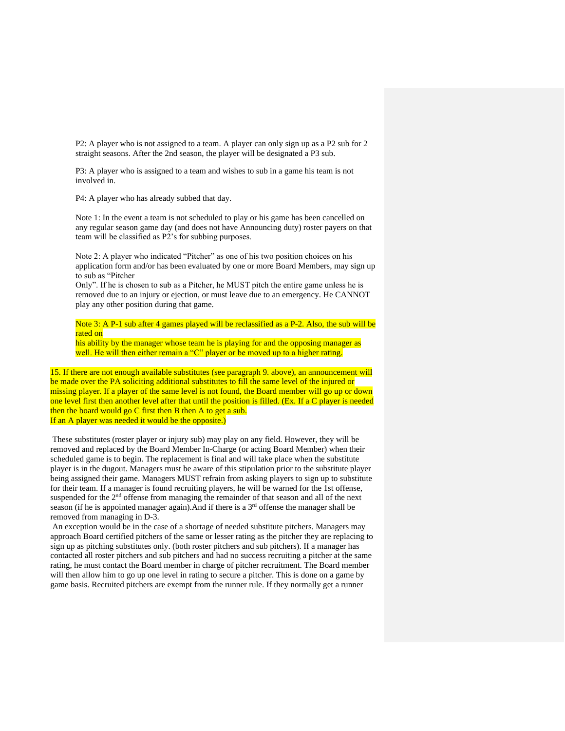P2: A player who is not assigned to a team. A player can only sign up as a P2 sub for 2 straight seasons. After the 2nd season, the player will be designated a P3 sub.

P3: A player who is assigned to a team and wishes to sub in a game his team is not involved in.

P4: A player who has already subbed that day.

Note 1: In the event a team is not scheduled to play or his game has been cancelled on any regular season game day (and does not have Announcing duty) roster payers on that team will be classified as P2's for subbing purposes.

Note 2: A player who indicated "Pitcher" as one of his two position choices on his application form and/or has been evaluated by one or more Board Members, may sign up to sub as "Pitcher

Only". If he is chosen to sub as a Pitcher, he MUST pitch the entire game unless he is removed due to an injury or ejection, or must leave due to an emergency. He CANNOT play any other position during that game.

Note 3: A P-1 sub after 4 games played will be reclassified as a P-2. Also, the sub will be rated on

his ability by the manager whose team he is playing for and the opposing manager as well. He will then either remain a "C" player or be moved up to a higher rating.

15. If there are not enough available substitutes (see paragraph 9. above), an announcement will be made over the PA soliciting additional substitutes to fill the same level of the injured or missing player. If a player of the same level is not found, the Board member will go up or down one level first then another level after that until the position is filled. (Ex. If a C player is needed then the board would go C first then B then A to get a sub. If an A player was needed it would be the opposite.)

These substitutes (roster player or injury sub) may play on any field. However, they will be removed and replaced by the Board Member In-Charge (or acting Board Member) when their scheduled game is to begin. The replacement is final and will take place when the substitute player is in the dugout. Managers must be aware of this stipulation prior to the substitute player being assigned their game. Managers MUST refrain from asking players to sign up to substitute for their team. If a manager is found recruiting players, he will be warned for the 1st offense, suspended for the 2<sup>nd</sup> offense from managing the remainder of that season and all of the next season (if he is appointed manager again). And if there is a  $3<sup>rd</sup>$  offense the manager shall be removed from managing in D-3.

An exception would be in the case of a shortage of needed substitute pitchers. Managers may approach Board certified pitchers of the same or lesser rating as the pitcher they are replacing to sign up as pitching substitutes only. (both roster pitchers and sub pitchers). If a manager has contacted all roster pitchers and sub pitchers and had no success recruiting a pitcher at the same rating, he must contact the Board member in charge of pitcher recruitment. The Board member will then allow him to go up one level in rating to secure a pitcher. This is done on a game by game basis. Recruited pitchers are exempt from the runner rule. If they normally get a runner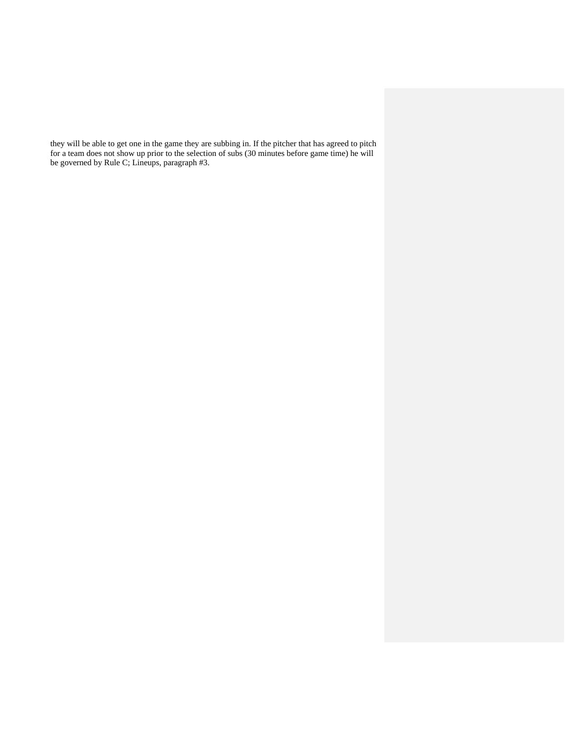they will be able to get one in the game they are subbing in. If the pitcher that has agreed to pitch for a team does not show up prior to the selection of subs (30 minutes before game time) he will be governed by Rule C; Lineups, paragraph #3.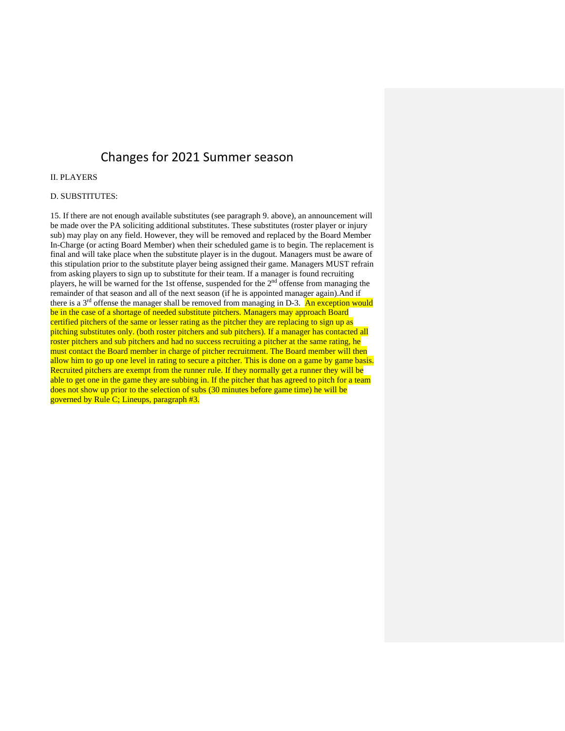## Changes for 2021 Summer season

#### II. PLAYERS

#### D. SUBSTITUTES:

15. If there are not enough available substitutes (see paragraph 9. above), an announcement will be made over the PA soliciting additional substitutes. These substitutes (roster player or injury sub) may play on any field. However, they will be removed and replaced by the Board Member In-Charge (or acting Board Member) when their scheduled game is to begin. The replacement is final and will take place when the substitute player is in the dugout. Managers must be aware of this stipulation prior to the substitute player being assigned their game. Managers MUST refrain from asking players to sign up to substitute for their team. If a manager is found recruiting players, he will be warned for the 1st offense, suspended for the 2nd offense from managing the remainder of that season and all of the next season (if he is appointed manager again).And if there is a  $3<sup>rd</sup>$  offense the manager shall be removed from managing in D-3. An exception would be in the case of a shortage of needed substitute pitchers. Managers may approach Board certified pitchers of the same or lesser rating as the pitcher they are replacing to sign up as pitching substitutes only. (both roster pitchers and sub pitchers). If a manager has contacted all roster pitchers and sub pitchers and had no success recruiting a pitcher at the same rating, he must contact the Board member in charge of pitcher recruitment. The Board member will then allow him to go up one level in rating to secure a pitcher. This is done on a game by game basis. Recruited pitchers are exempt from the runner rule. If they normally get a runner they will be able to get one in the game they are subbing in. If the pitcher that has agreed to pitch for a team does not show up prior to the selection of subs (30 minutes before game time) he will be governed by Rule C; Lineups, paragraph #3.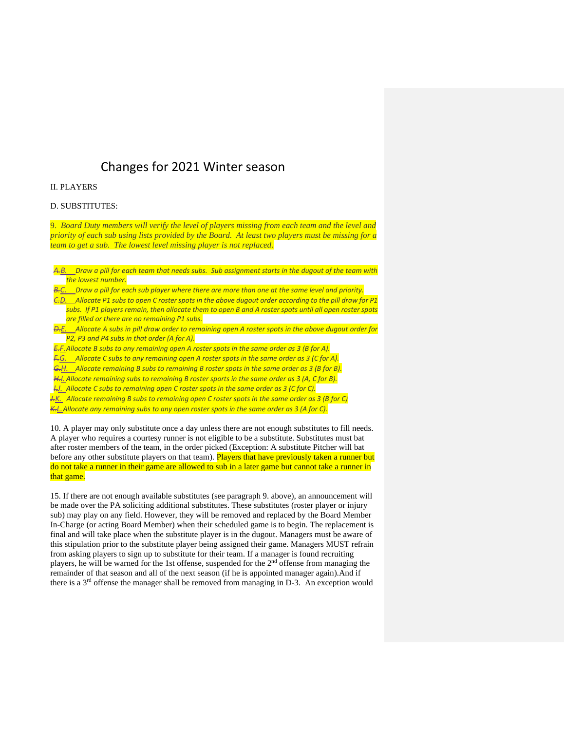### Changes for 2021 Winter season

#### II. PLAYERS

#### D. SUBSTITUTES:

9. *Board Duty members will verify the level of players missing from each team and the level and priority of each sub using lists provided by the Board. At least two players must be missing for a team to get a sub. The lowest level missing player is not replaced.*

|                    | A.B. Draw a pill for each team that needs subs. Sub assignment starts in the dugout of the team with          |  |  |
|--------------------|---------------------------------------------------------------------------------------------------------------|--|--|
| the lowest number. |                                                                                                               |  |  |
|                    | . Daniel a all fou could calculate and car there are accurated the countries of the following the standard of |  |  |

*Draw a pill for each sub player where there are more than one at the same level and priority. C.D. Allocate P1 subs to open C roster spots in the above dugout order according to the pill draw for P1 subs. If P1 players remain, then allocate them to open B and A roster spots until all open roster spots are filled or there are no remaining P1 subs. D.E. Allocate A subs in pill draw order to remaining open A roster spots in the above dugout order for* 

*P2, P3 and P4 subs in that order (A for A).*

*E.F.Allocate B subs to any remaining open A roster spots in the same order as 3 (B for A).*

*F.G. Allocate C subs to any remaining open A roster spots in the same order as 3 (C for A).*

*G.H. Allocate remaining B subs to remaining B roster spots in the same order as 3 (B for B). H.I.Allocate remaining subs to remaining B roster sports in the same order as 3 (A, C for B).*

*I.J. Allocate C subs to remaining open C roster spots in the same order as 3 (C for C).*

*J.K. Allocate remaining B subs to remaining open C roster spots in the same order as 3 (B for C) K.L.Allocate any remaining subs to any open roster spots in the same order as 3 (A for C).*

10. A player may only substitute once a day unless there are not enough substitutes to fill needs. A player who requires a courtesy runner is not eligible to be a substitute. Substitutes must bat after roster members of the team, in the order picked (Exception: A substitute Pitcher will bat before any other substitute players on that team). Players that have previously taken a runner but do not take a runner in their game are allowed to sub in a later game but cannot take a runner in that game.

15. If there are not enough available substitutes (see paragraph 9. above), an announcement will be made over the PA soliciting additional substitutes. These substitutes (roster player or injury sub) may play on any field. However, they will be removed and replaced by the Board Member In-Charge (or acting Board Member) when their scheduled game is to begin. The replacement is final and will take place when the substitute player is in the dugout. Managers must be aware of this stipulation prior to the substitute player being assigned their game. Managers MUST refrain from asking players to sign up to substitute for their team. If a manager is found recruiting players, he will be warned for the 1st offense, suspended for the  $2<sup>nd</sup>$  offense from managing the remainder of that season and all of the next season (if he is appointed manager again).And if there is a  $3<sup>rd</sup>$  offense the manager shall be removed from managing in D-3. An exception would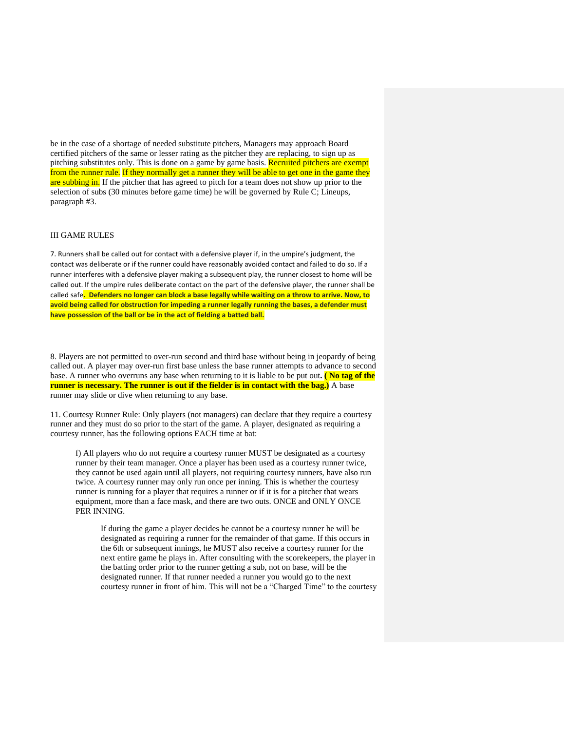be in the case of a shortage of needed substitute pitchers, Managers may approach Board certified pitchers of the same or lesser rating as the pitcher they are replacing, to sign up as pitching substitutes only. This is done on a game by game basis. Recruited pitchers are exempt from the runner rule. If they normally get a runner they will be able to get one in the game they are subbing in. If the pitcher that has agreed to pitch for a team does not show up prior to the selection of subs (30 minutes before game time) he will be governed by Rule C; Lineups, paragraph #3.

#### III GAME RULES

7. Runners shall be called out for contact with a defensive player if, in the umpire's judgment, the contact was deliberate or if the runner could have reasonably avoided contact and failed to do so. If a runner interferes with a defensive player making a subsequent play, the runner closest to home will be called out. If the umpire rules deliberate contact on the part of the defensive player, the runner shall be called safe**. Defenders no longer can block a base legally while waiting on a throw to arrive. Now, to avoid being called for obstruction for impeding a runner legally running the bases, a defender must have possession of the ball or be in the act of fielding a batted ball.**

8. Players are not permitted to over-run second and third base without being in jeopardy of being called out. A player may over-run first base unless the base runner attempts to advance to second base. A runner who overruns any base when returning to it is liable to be put out**. ( No tag of the runner is necessary. The runner is out if the fielder is in contact with the bag.)** A base runner may slide or dive when returning to any base.

11. Courtesy Runner Rule: Only players (not managers) can declare that they require a courtesy runner and they must do so prior to the start of the game. A player, designated as requiring a courtesy runner, has the following options EACH time at bat:

f) All players who do not require a courtesy runner MUST be designated as a courtesy runner by their team manager. Once a player has been used as a courtesy runner twice, they cannot be used again until all players, not requiring courtesy runners, have also run twice. A courtesy runner may only run once per inning. This is whether the courtesy runner is running for a player that requires a runner or if it is for a pitcher that wears equipment, more than a face mask, and there are two outs. ONCE and ONLY ONCE PER INNING.

If during the game a player decides he cannot be a courtesy runner he will be designated as requiring a runner for the remainder of that game. If this occurs in the 6th or subsequent innings, he MUST also receive a courtesy runner for the next entire game he plays in. After consulting with the scorekeepers, the player in the batting order prior to the runner getting a sub, not on base, will be the designated runner. If that runner needed a runner you would go to the next courtesy runner in front of him. This will not be a "Charged Time" to the courtesy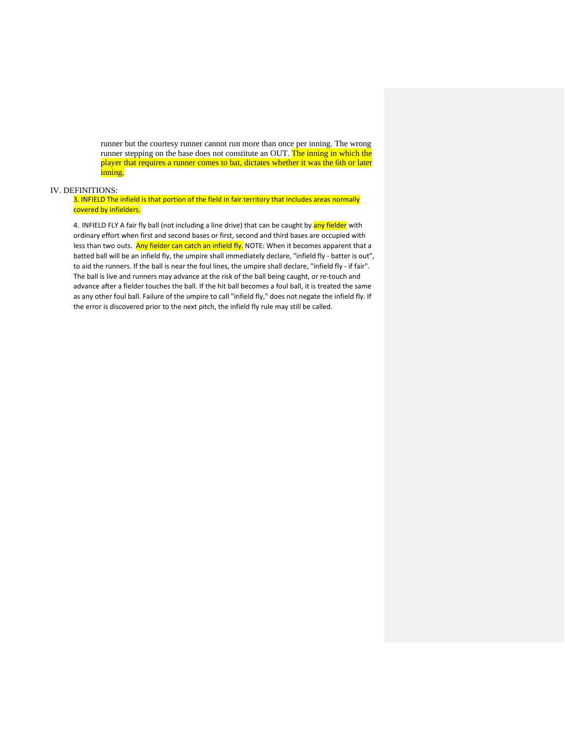runner but the courtesy runner cannot run more than once per inning. The wrong runner stepping on the base does not constitute an OUT. The inning in which the player that requires a runner comes to bat, dictates whether it was the 6th or later inning.

#### IV. DEFINITIONS:

3. INFIELD The infield is that portion of the field in fair territory that includes areas normally covered by infielders.

4. INFIELD FLY A fair fly ball (not including a line drive) that can be caught by any fielder with ordinary effort when first and second bases or first, second and third bases are occupied with less than two outs. Any fielder can catch an infield fly. NOTE: When it becomes apparent that a batted ball will be an infield fly, the umpire shall immediately declare, "infield fly - batter is out", to aid the runners. If the ball is near the foul lines, the umpire shall declare, "infield fly - if fair". The ball is live and runners may advance at the risk of the ball being caught, or re-touch and advance after a fielder touches the ball. If the hit ball becomes a foul ball, it is treated the same as any other foul ball. Failure of the umpire to call "infield fly," does not negate the infield fly. If the error is discovered prior to the next pitch, the infield fly rule may still be called.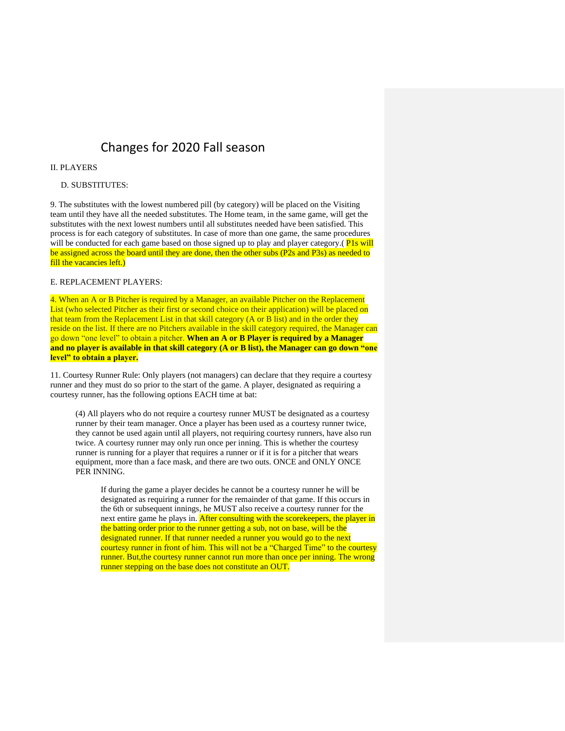## Changes for 2020 Fall season

#### II. PLAYERS

#### D. SUBSTITUTES:

9. The substitutes with the lowest numbered pill (by category) will be placed on the Visiting team until they have all the needed substitutes. The Home team, in the same game, will get the substitutes with the next lowest numbers until all substitutes needed have been satisfied. This process is for each category of substitutes. In case of more than one game, the same procedures will be conducted for each game based on those signed up to play and player category. (Pls will be assigned across the board until they are done, then the other subs (P2s and P3s) as needed to fill the vacancies left.)

#### E. REPLACEMENT PLAYERS:

4. When an A or B Pitcher is required by a Manager, an available Pitcher on the Replacement List (who selected Pitcher as their first or second choice on their application) will be placed on that team from the Replacement List in that skill category (A or B list) and in the order they reside on the list. If there are no Pitchers available in the skill category required, the Manager can go down "one level" to obtain a pitcher. **When an A or B Player is required by a Manager and no player is available in that skill category (A or B list), the Manager can go down "one level" to obtain a player.**

11. Courtesy Runner Rule: Only players (not managers) can declare that they require a courtesy runner and they must do so prior to the start of the game. A player, designated as requiring a courtesy runner, has the following options EACH time at bat:

(4) All players who do not require a courtesy runner MUST be designated as a courtesy runner by their team manager. Once a player has been used as a courtesy runner twice, they cannot be used again until all players, not requiring courtesy runners, have also run twice. A courtesy runner may only run once per inning. This is whether the courtesy runner is running for a player that requires a runner or if it is for a pitcher that wears equipment, more than a face mask, and there are two outs. ONCE and ONLY ONCE PER INNING.

If during the game a player decides he cannot be a courtesy runner he will be designated as requiring a runner for the remainder of that game. If this occurs in the 6th or subsequent innings, he MUST also receive a courtesy runner for the next entire game he plays in. After consulting with the scorekeepers, the player in the batting order prior to the runner getting a sub, not on base, will be the designated runner. If that runner needed a runner you would go to the next courtesy runner in front of him. This will not be a "Charged Time" to the courtesy runner. But, the courtesy runner cannot run more than once per inning. The wrong runner stepping on the base does not constitute an OUT.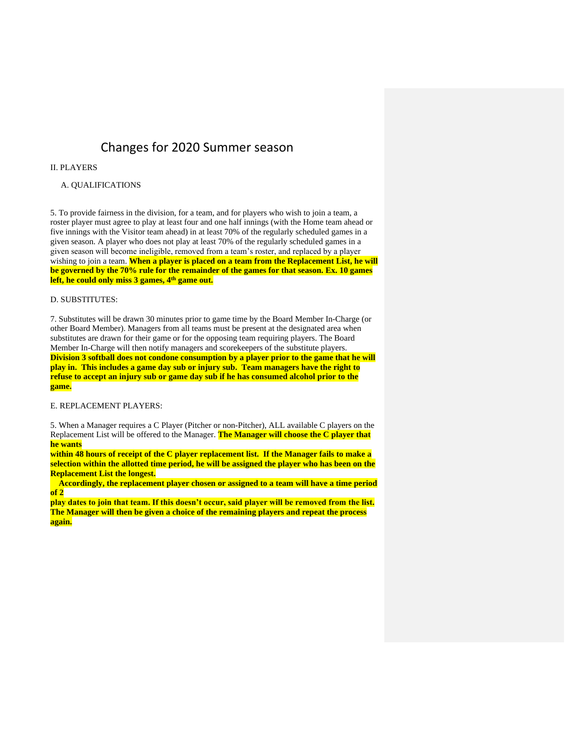### Changes for 2020 Summer season

#### II. PLAYERS

#### A. QUALIFICATIONS

5. To provide fairness in the division, for a team, and for players who wish to join a team, a roster player must agree to play at least four and one half innings (with the Home team ahead or five innings with the Visitor team ahead) in at least 70% of the regularly scheduled games in a given season. A player who does not play at least 70% of the regularly scheduled games in a given season will become ineligible, removed from a team's roster, and replaced by a player wishing to join a team. **When a player is placed on a team from the Replacement List, he will be governed by the 70% rule for the remainder of the games for that season. Ex. 10 games left, he could only miss 3 games, 4th game out.**

#### D. SUBSTITUTES:

7. Substitutes will be drawn 30 minutes prior to game time by the Board Member In-Charge (or other Board Member). Managers from all teams must be present at the designated area when substitutes are drawn for their game or for the opposing team requiring players. The Board Member In-Charge will then notify managers and scorekeepers of the substitute players. **Division 3 softball does not condone consumption by a player prior to the game that he will play in. This includes a game day sub or injury sub. Team managers have the right to refuse to accept an injury sub or game day sub if he has consumed alcohol prior to the game.**

E. REPLACEMENT PLAYERS:

5. When a Manager requires a C Player (Pitcher or non-Pitcher), ALL available C players on the Replacement List will be offered to the Manager. **The Manager will choose the C player that he wants**

**within 48 hours of receipt of the C player replacement list. If the Manager fails to make a selection within the allotted time period, he will be assigned the player who has been on the Replacement List the longest.**

 **Accordingly, the replacement player chosen or assigned to a team will have a time period of 2**

**play dates to join that team. If this doesn't occur, said player will be removed from the list. The Manager will then be given a choice of the remaining players and repeat the process again.**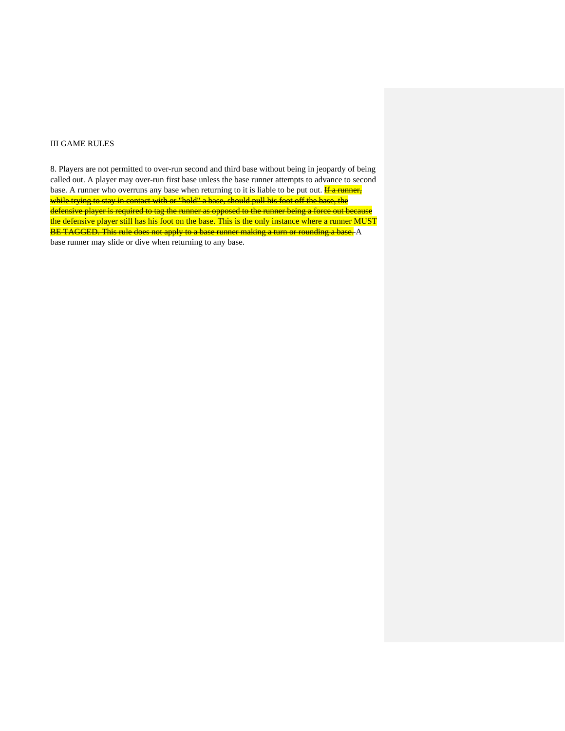#### III GAME RULES

8. Players are not permitted to over-run second and third base without being in jeopardy of being called out. A player may over-run first base unless the base runner attempts to advance to second base. A runner who overruns any base when returning to it is liable to be put out. **If a runner**, while trying to stay in contact with or "hold" a base, should pull his foot off the base, the defensive player is required to tag the runner as opposed to the runner being a force out because the defensive player still has his foot on the base. This is the only instance where a runner MUST BE TAGGED. This rule does not apply to a base runner making a turn or rounding a base. A base runner may slide or dive when returning to any base.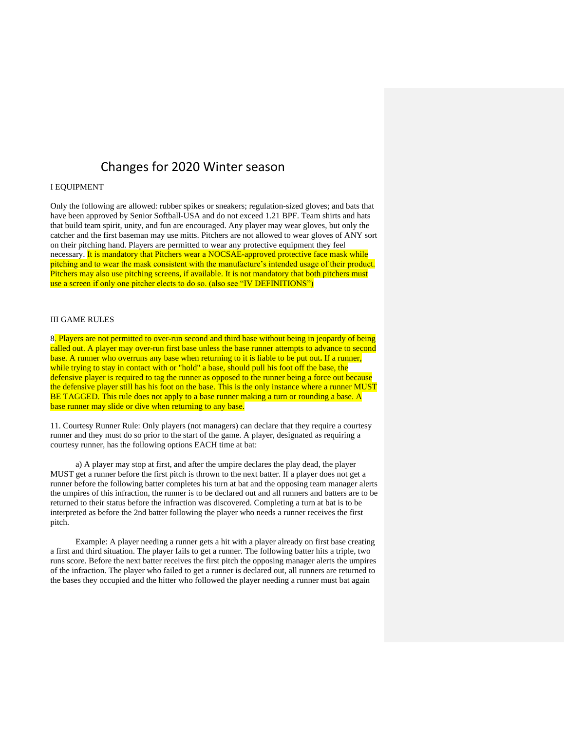### Changes for 2020 Winter season

#### I EQUIPMENT

Only the following are allowed: rubber spikes or sneakers; regulation-sized gloves; and bats that have been approved by Senior Softball-USA and do not exceed 1.21 BPF. Team shirts and hats that build team spirit, unity, and fun are encouraged. Any player may wear gloves, but only the catcher and the first baseman may use mitts. Pitchers are not allowed to wear gloves of ANY sort on their pitching hand. Players are permitted to wear any protective equipment they feel necessary. It is mandatory that Pitchers wear a NOCSAE-approved protective face mask while pitching and to wear the mask consistent with the manufacture's intended usage of their product. Pitchers may also use pitching screens, if available. It is not mandatory that both pitchers must use a screen if only one pitcher elects to do so. (also see "IV DEFINITIONS")

#### III GAME RULES

8. Players are not permitted to over-run second and third base without being in jeopardy of being called out. A player may over-run first base unless the base runner attempts to advance to second base. A runner who overruns any base when returning to it is liable to be put out**.** If a runner, while trying to stay in contact with or "hold" a base, should pull his foot off the base, the defensive player is required to tag the runner as opposed to the runner being a force out because the defensive player still has his foot on the base. This is the only instance where a runner MUST BE TAGGED. This rule does not apply to a base runner making a turn or rounding a base. A base runner may slide or dive when returning to any base.

11. Courtesy Runner Rule: Only players (not managers) can declare that they require a courtesy runner and they must do so prior to the start of the game. A player, designated as requiring a courtesy runner, has the following options EACH time at bat:

a) A player may stop at first, and after the umpire declares the play dead, the player MUST get a runner before the first pitch is thrown to the next batter. If a player does not get a runner before the following batter completes his turn at bat and the opposing team manager alerts the umpires of this infraction, the runner is to be declared out and all runners and batters are to be returned to their status before the infraction was discovered. Completing a turn at bat is to be interpreted as before the 2nd batter following the player who needs a runner receives the first pitch.

Example: A player needing a runner gets a hit with a player already on first base creating a first and third situation. The player fails to get a runner. The following batter hits a triple, two runs score. Before the next batter receives the first pitch the opposing manager alerts the umpires of the infraction. The player who failed to get a runner is declared out, all runners are returned to the bases they occupied and the hitter who followed the player needing a runner must bat again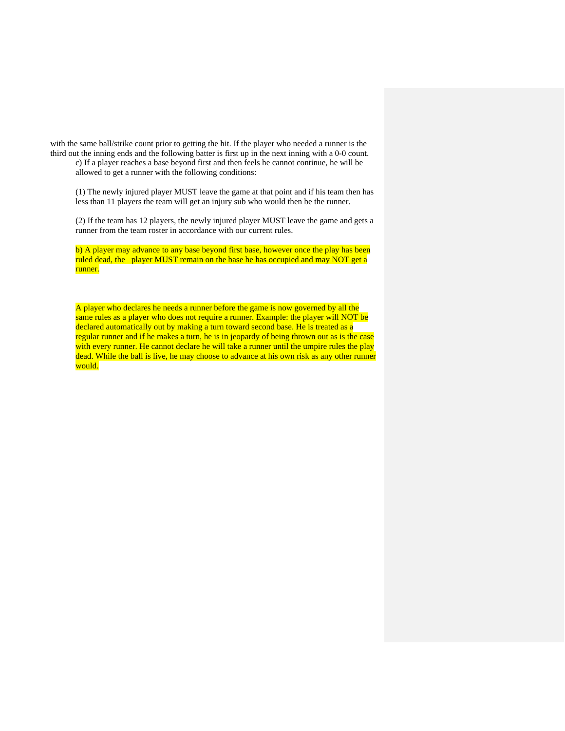with the same ball/strike count prior to getting the hit. If the player who needed a runner is the third out the inning ends and the following batter is first up in the next inning with a 0-0 count.

c) If a player reaches a base beyond first and then feels he cannot continue, he will be allowed to get a runner with the following conditions:

(1) The newly injured player MUST leave the game at that point and if his team then has less than 11 players the team will get an injury sub who would then be the runner.

(2) If the team has 12 players, the newly injured player MUST leave the game and gets a runner from the team roster in accordance with our current rules.

b) A player may advance to any base beyond first base, however once the play has been ruled dead, the player MUST remain on the base he has occupied and may NOT get a runner.

A player who declares he needs a runner before the game is now governed by all the same rules as a player who does not require a runner. Example: the player will NOT be declared automatically out by making a turn toward second base. He is treated as a regular runner and if he makes a turn, he is in jeopardy of being thrown out as is the case with every runner. He cannot declare he will take a runner until the umpire rules the play dead. While the ball is live, he may choose to advance at his own risk as any other runner would.